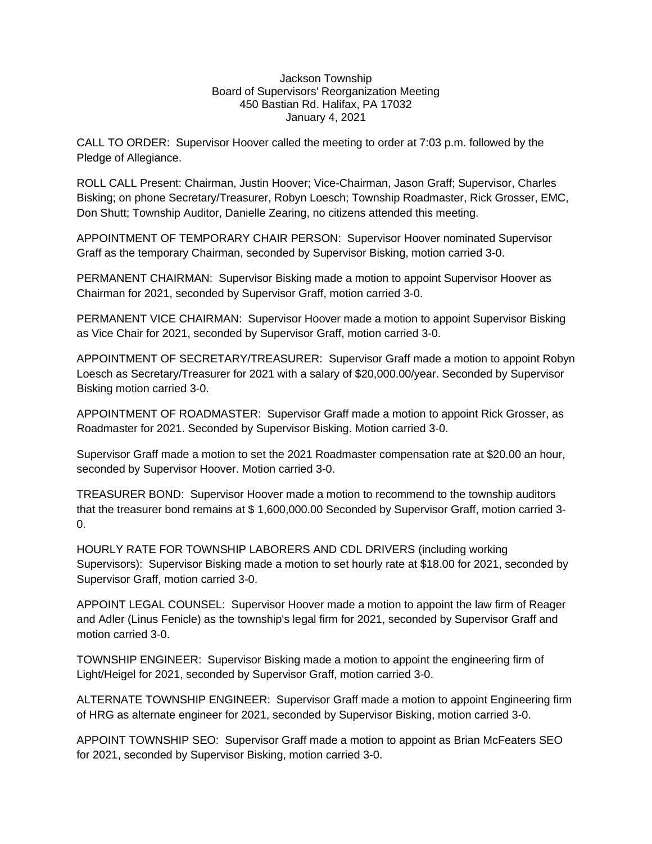## Jackson Township Board of Supervisors' Reorganization Meeting 450 Bastian Rd. Halifax, PA 17032 January 4, 2021

CALL TO ORDER: Supervisor Hoover called the meeting to order at 7:03 p.m. followed by the Pledge of Allegiance.

ROLL CALL Present: Chairman, Justin Hoover; Vice-Chairman, Jason Graff; Supervisor, Charles Bisking; on phone Secretary/Treasurer, Robyn Loesch; Township Roadmaster, Rick Grosser, EMC, Don Shutt; Township Auditor, Danielle Zearing, no citizens attended this meeting.

APPOINTMENT OF TEMPORARY CHAIR PERSON: Supervisor Hoover nominated Supervisor Graff as the temporary Chairman, seconded by Supervisor Bisking, motion carried 3-0.

PERMANENT CHAIRMAN: Supervisor Bisking made a motion to appoint Supervisor Hoover as Chairman for 2021, seconded by Supervisor Graff, motion carried 3-0.

PERMANENT VICE CHAIRMAN: Supervisor Hoover made a motion to appoint Supervisor Bisking as Vice Chair for 2021, seconded by Supervisor Graff, motion carried 3-0.

APPOINTMENT OF SECRETARY/TREASURER: Supervisor Graff made a motion to appoint Robyn Loesch as Secretary/Treasurer for 2021 with a salary of \$20,000.00/year. Seconded by Supervisor Bisking motion carried 3-0.

APPOINTMENT OF ROADMASTER: Supervisor Graff made a motion to appoint Rick Grosser, as Roadmaster for 2021. Seconded by Supervisor Bisking. Motion carried 3-0.

Supervisor Graff made a motion to set the 2021 Roadmaster compensation rate at \$20.00 an hour, seconded by Supervisor Hoover. Motion carried 3-0.

TREASURER BOND: Supervisor Hoover made a motion to recommend to the township auditors that the treasurer bond remains at \$ 1,600,000.00 Seconded by Supervisor Graff, motion carried 3- 0.

HOURLY RATE FOR TOWNSHIP LABORERS AND CDL DRIVERS (including working Supervisors): Supervisor Bisking made a motion to set hourly rate at \$18.00 for 2021, seconded by Supervisor Graff, motion carried 3-0.

APPOINT LEGAL COUNSEL: Supervisor Hoover made a motion to appoint the law firm of Reager and Adler (Linus Fenicle) as the township's legal firm for 2021, seconded by Supervisor Graff and motion carried 3-0.

TOWNSHIP ENGINEER: Supervisor Bisking made a motion to appoint the engineering firm of Light/Heigel for 2021, seconded by Supervisor Graff, motion carried 3-0.

ALTERNATE TOWNSHIP ENGINEER: Supervisor Graff made a motion to appoint Engineering firm of HRG as alternate engineer for 2021, seconded by Supervisor Bisking, motion carried 3-0.

APPOINT TOWNSHIP SEO: Supervisor Graff made a motion to appoint as Brian McFeaters SEO for 2021, seconded by Supervisor Bisking, motion carried 3-0.